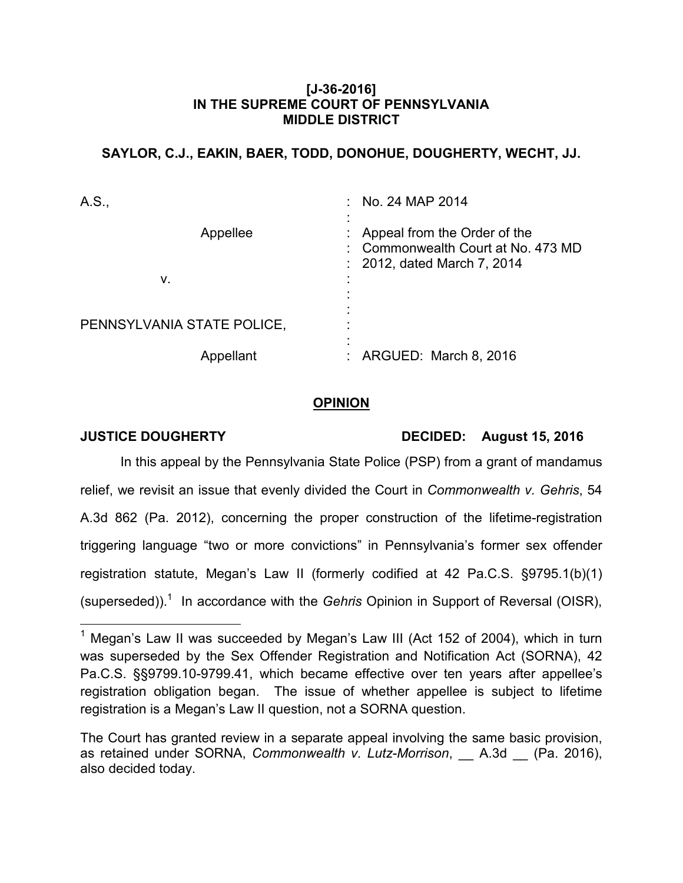### **[J-36-2016] IN THE SUPREME COURT OF PENNSYLVANIA MIDDLE DISTRICT**

# **SAYLOR, C.J., EAKIN, BAER, TODD, DONOHUE, DOUGHERTY, WECHT, JJ.**

| A.S.,                      | $\therefore$ No. 24 MAP 2014                                                                    |
|----------------------------|-------------------------------------------------------------------------------------------------|
| Appellee                   | Appeal from the Order of the<br>Commonwealth Court at No. 473 MD<br>: 2012, dated March 7, 2014 |
| ν.                         |                                                                                                 |
| PENNSYLVANIA STATE POLICE, |                                                                                                 |
| Appellant                  | ARGUED: March 8, 2016                                                                           |

## **OPINION**

**JUSTICE DOUGHERTY** DECIDED: August 15, 2016

In this appeal by the Pennsylvania State Police (PSP) from a grant of mandamus relief, we revisit an issue that evenly divided the Court in *Commonwealth v. Gehris*, 54 A.3d 862 (Pa. 2012), concerning the proper construction of the lifetime-registration triggering language "two or more convictions" in Pennsylvania's former sex offender registration statute, Megan's Law II (formerly codified at 42 Pa.C.S. §9795.1(b)(1) (superseded)).<sup>1</sup> In accordance with the *Gehris* Opinion in Support of Reversal (OISR),

 $\overline{a}$ <sup>1</sup> Megan's Law II was succeeded by Megan's Law III (Act 152 of 2004), which in turn was superseded by the Sex Offender Registration and Notification Act (SORNA), 42 Pa.C.S. §§9799.10-9799.41, which became effective over ten years after appellee's registration obligation began. The issue of whether appellee is subject to lifetime registration is a Megan's Law II question, not a SORNA question.

The Court has granted review in a separate appeal involving the same basic provision, as retained under SORNA, *Commonwealth v. Lutz-Morrison*, \_\_ A.3d \_\_ (Pa. 2016), also decided today.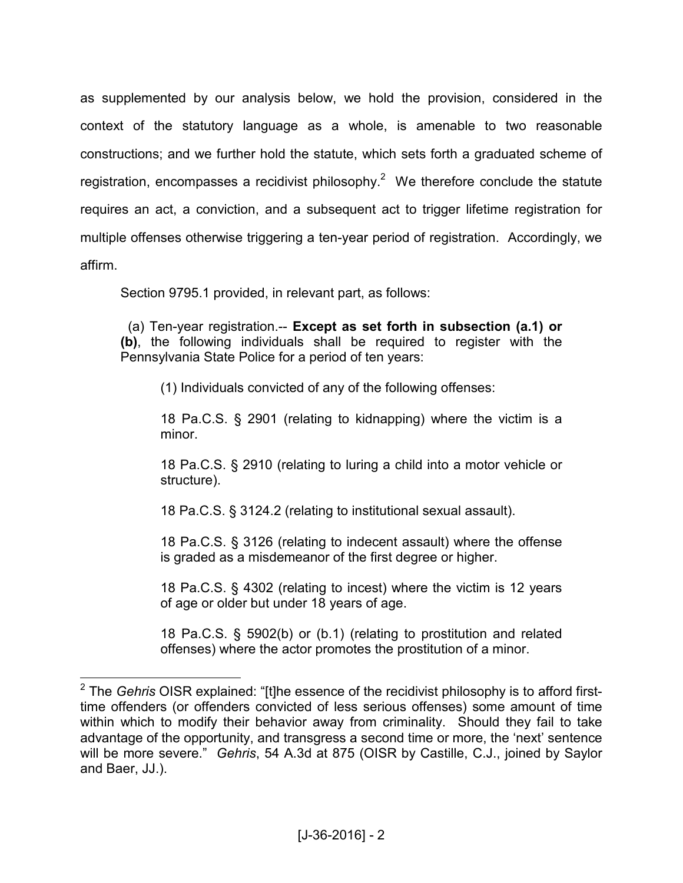as supplemented by our analysis below, we hold the provision, considered in the context of the statutory language as a whole, is amenable to two reasonable constructions; and we further hold the statute, which sets forth a graduated scheme of registration, encompasses a recidivist philosophy.<sup>2</sup> We therefore conclude the statute requires an act, a conviction, and a subsequent act to trigger lifetime registration for multiple offenses otherwise triggering a ten-year period of registration. Accordingly, we affirm.

Section 9795.1 provided, in relevant part, as follows:

 (a) Ten-year registration.-- **Except as set forth in subsection (a.1) or (b)**, the following individuals shall be required to register with the Pennsylvania State Police for a period of ten years:

(1) Individuals convicted of any of the following offenses:

[18 Pa.C.S. § 2901](https://a.next.westlaw.com/Link/Document/FullText?findType=L&pubNum=1000262&cite=PA18S2901&originatingDoc=N7F6690803C9411E184D9DD58BE94A4E9&refType=LQ&originationContext=document&transitionType=DocumentItem&contextData=%28sc.RelatedInfo%29) (relating to kidnapping) where the victim is a minor.

[18 Pa.C.S. § 2910](https://a.next.westlaw.com/Link/Document/FullText?findType=L&pubNum=1000262&cite=PA18S2910&originatingDoc=N7F6690803C9411E184D9DD58BE94A4E9&refType=LQ&originationContext=document&transitionType=DocumentItem&contextData=%28sc.RelatedInfo%29) (relating to luring a child into a motor vehicle or structure).

[18 Pa.C.S. § 3124.2](https://a.next.westlaw.com/Link/Document/FullText?findType=L&pubNum=1000262&cite=PA18S3124.2&originatingDoc=N7F6690803C9411E184D9DD58BE94A4E9&refType=LQ&originationContext=document&transitionType=DocumentItem&contextData=%28sc.RelatedInfo%29) (relating to institutional sexual assault).

[18 Pa.C.S. § 3126](https://a.next.westlaw.com/Link/Document/FullText?findType=L&pubNum=1000262&cite=PA18S3126&originatingDoc=N7F6690803C9411E184D9DD58BE94A4E9&refType=LQ&originationContext=document&transitionType=DocumentItem&contextData=%28sc.RelatedInfo%29) (relating to indecent assault) where the offense is graded as a misdemeanor of the first degree or higher.

[18 Pa.C.S. § 4302](https://a.next.westlaw.com/Link/Document/FullText?findType=L&pubNum=1000262&cite=PA18S4302&originatingDoc=N7F6690803C9411E184D9DD58BE94A4E9&refType=LQ&originationContext=document&transitionType=DocumentItem&contextData=%28sc.RelatedInfo%29) (relating to incest) where the victim is 12 years of age or older but under 18 years of age.

[18 Pa.C.S. § 5902\(b\) or \(b.1\)](https://a.next.westlaw.com/Link/Document/FullText?findType=L&pubNum=1000262&cite=PA18S5902&originatingDoc=N7F6690803C9411E184D9DD58BE94A4E9&refType=SP&originationContext=document&transitionType=DocumentItem&contextData=%28sc.RelatedInfo%29#co_pp_a83b000018c76) (relating to prostitution and related offenses) where the actor promotes the prostitution of a minor.

 2 The *Gehris* OISR explained: "[t]he essence of the recidivist philosophy is to afford firsttime offenders (or offenders convicted of less serious offenses) some amount of time within which to modify their behavior away from criminality. Should they fail to take advantage of the opportunity, and transgress a second time or more, the 'next' sentence will be more severe." *Gehris*, 54 A.3d at 875 (OISR by Castille, C.J., joined by Saylor and Baer, JJ.).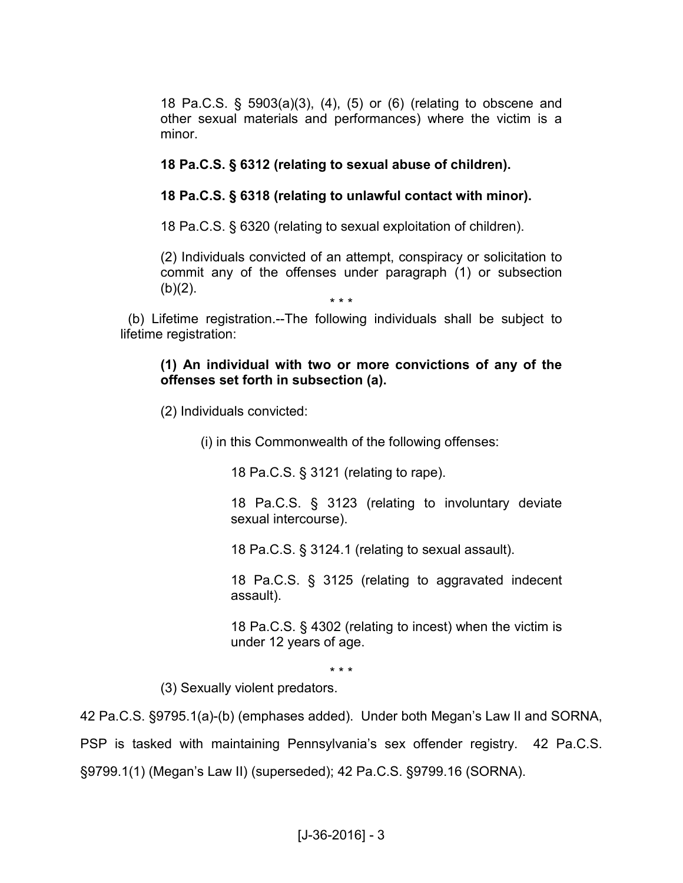[18 Pa.C.S. § 5903\(a\)\(3\), \(4\), \(5\) or \(6\)](https://a.next.westlaw.com/Link/Document/FullText?findType=L&pubNum=1000262&cite=PA18S5903&originatingDoc=N7F6690803C9411E184D9DD58BE94A4E9&refType=SP&originationContext=document&transitionType=DocumentItem&contextData=%28sc.RelatedInfo%29#co_pp_28cc0000ccca6) (relating to obscene and other sexual materials and performances) where the victim is a minor.

# **[18 Pa.C.S. § 6312](https://a.next.westlaw.com/Link/Document/FullText?findType=L&pubNum=1000262&cite=PA18S6312&originatingDoc=N7F6690803C9411E184D9DD58BE94A4E9&refType=LQ&originationContext=document&transitionType=DocumentItem&contextData=%28sc.RelatedInfo%29) (relating to sexual abuse of children).**

## **[18 Pa.C.S. § 6318](https://a.next.westlaw.com/Link/Document/FullText?findType=L&pubNum=1000262&cite=PA18S6318&originatingDoc=N7F6690803C9411E184D9DD58BE94A4E9&refType=LQ&originationContext=document&transitionType=DocumentItem&contextData=%28sc.RelatedInfo%29) (relating to unlawful contact with minor).**

[18 Pa.C.S. § 6320](https://a.next.westlaw.com/Link/Document/FullText?findType=L&pubNum=1000262&cite=PA18S6320&originatingDoc=N7F6690803C9411E184D9DD58BE94A4E9&refType=LQ&originationContext=document&transitionType=DocumentItem&contextData=%28sc.RelatedInfo%29) (relating to sexual exploitation of children).

(2) Individuals convicted of an attempt, conspiracy or solicitation to commit any of the offenses under paragraph (1) or subsection  $(b)(2)$ .

\* \* \* (b) Lifetime registration.--The following individuals shall be subject to lifetime registration:

### **(1) An individual with two or more convictions of any of the offenses set forth in subsection (a).**

(2) Individuals convicted:

(i) in this Commonwealth of the following offenses:

[18 Pa.C.S. § 3121](https://a.next.westlaw.com/Link/Document/FullText?findType=L&pubNum=1000262&cite=PA18S3121&originatingDoc=N7F6690803C9411E184D9DD58BE94A4E9&refType=LQ&originationContext=document&transitionType=DocumentItem&contextData=%28sc.RelatedInfo%29) (relating to rape).

[18 Pa.C.S. § 3123](https://a.next.westlaw.com/Link/Document/FullText?findType=L&pubNum=1000262&cite=PA18S3123&originatingDoc=N7F6690803C9411E184D9DD58BE94A4E9&refType=LQ&originationContext=document&transitionType=DocumentItem&contextData=%28sc.RelatedInfo%29) (relating to involuntary deviate sexual intercourse).

[18 Pa.C.S. § 3124.1](https://a.next.westlaw.com/Link/Document/FullText?findType=L&pubNum=1000262&cite=PA18S3124.1&originatingDoc=N7F6690803C9411E184D9DD58BE94A4E9&refType=LQ&originationContext=document&transitionType=DocumentItem&contextData=%28sc.RelatedInfo%29) (relating to sexual assault).

[18 Pa.C.S. § 3125](https://a.next.westlaw.com/Link/Document/FullText?findType=L&pubNum=1000262&cite=PA18S3125&originatingDoc=N7F6690803C9411E184D9DD58BE94A4E9&refType=LQ&originationContext=document&transitionType=DocumentItem&contextData=%28sc.RelatedInfo%29) (relating to aggravated indecent assault).

[18 Pa.C.S. § 4302](https://a.next.westlaw.com/Link/Document/FullText?findType=L&pubNum=1000262&cite=PA18S4302&originatingDoc=N7F6690803C9411E184D9DD58BE94A4E9&refType=LQ&originationContext=document&transitionType=DocumentItem&contextData=%28sc.RelatedInfo%29) (relating to incest) when the victim is under 12 years of age.

\* \* \*

(3) Sexually violent predators.

42 Pa.C.S. §9795.1(a)-(b) (emphases added). Under both Megan's Law II and SORNA, PSP is tasked with maintaining Pennsylvania's sex offender registry. 42 Pa.C.S. §9799.1(1) (Megan's Law II) (superseded); 42 Pa.C.S. §9799.16 (SORNA).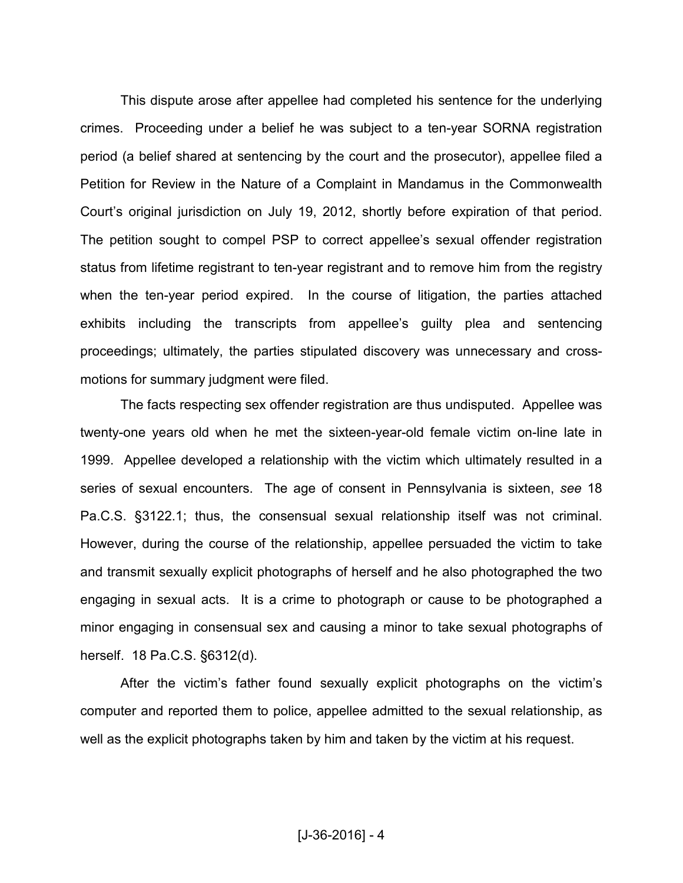This dispute arose after appellee had completed his sentence for the underlying crimes. Proceeding under a belief he was subject to a ten-year SORNA registration period (a belief shared at sentencing by the court and the prosecutor), appellee filed a Petition for Review in the Nature of a Complaint in Mandamus in the Commonwealth Court's original jurisdiction on July 19, 2012, shortly before expiration of that period. The petition sought to compel PSP to correct appellee's sexual offender registration status from lifetime registrant to ten-year registrant and to remove him from the registry when the ten-year period expired. In the course of litigation, the parties attached exhibits including the transcripts from appellee's guilty plea and sentencing proceedings; ultimately, the parties stipulated discovery was unnecessary and crossmotions for summary judgment were filed.

The facts respecting sex offender registration are thus undisputed. Appellee was twenty-one years old when he met the sixteen-year-old female victim on-line late in 1999. Appellee developed a relationship with the victim which ultimately resulted in a series of sexual encounters. The age of consent in Pennsylvania is sixteen, *see* 18 Pa.C.S. §3122.1; thus, the consensual sexual relationship itself was not criminal. However, during the course of the relationship, appellee persuaded the victim to take and transmit sexually explicit photographs of herself and he also photographed the two engaging in sexual acts. It is a crime to photograph or cause to be photographed a minor engaging in consensual sex and causing a minor to take sexual photographs of herself. 18 Pa.C.S. §6312(d).

After the victim's father found sexually explicit photographs on the victim's computer and reported them to police, appellee admitted to the sexual relationship, as well as the explicit photographs taken by him and taken by the victim at his request.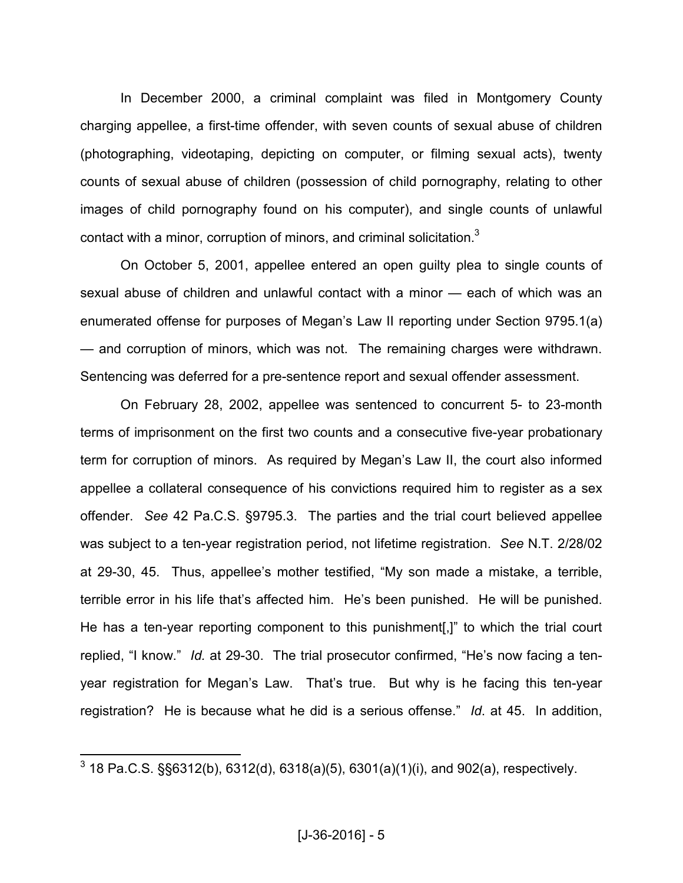In December 2000, a criminal complaint was filed in Montgomery County charging appellee, a first-time offender, with seven counts of sexual abuse of children (photographing, videotaping, depicting on computer, or filming sexual acts), twenty counts of sexual abuse of children (possession of child pornography, relating to other images of child pornography found on his computer), and single counts of unlawful contact with a minor, corruption of minors, and criminal solicitation.<sup>3</sup>

On October 5, 2001, appellee entered an open guilty plea to single counts of sexual abuse of children and unlawful contact with a minor — each of which was an enumerated offense for purposes of Megan's Law II reporting under Section 9795.1(a) — and corruption of minors, which was not. The remaining charges were withdrawn. Sentencing was deferred for a pre-sentence report and sexual offender assessment.

On February 28, 2002, appellee was sentenced to concurrent 5- to 23-month terms of imprisonment on the first two counts and a consecutive five-year probationary term for corruption of minors. As required by Megan's Law II, the court also informed appellee a collateral consequence of his convictions required him to register as a sex offender. *See* 42 Pa.C.S. §9795.3. The parties and the trial court believed appellee was subject to a ten-year registration period, not lifetime registration. *See* N.T. 2/28/02 at 29-30, 45. Thus, appellee's mother testified, "My son made a mistake, a terrible, terrible error in his life that's affected him. He's been punished. He will be punished. He has a ten-year reporting component to this punishment[,]" to which the trial court replied, "I know." *Id.* at 29-30. The trial prosecutor confirmed, "He's now facing a tenyear registration for Megan's Law. That's true. But why is he facing this ten-year registration? He is because what he did is a serious offense." *Id*. at 45. In addition,

 3 18 Pa.C.S. §§6312(b), 6312(d), 6318(a)(5), 6301(a)(1)(i), and 902(a), respectively.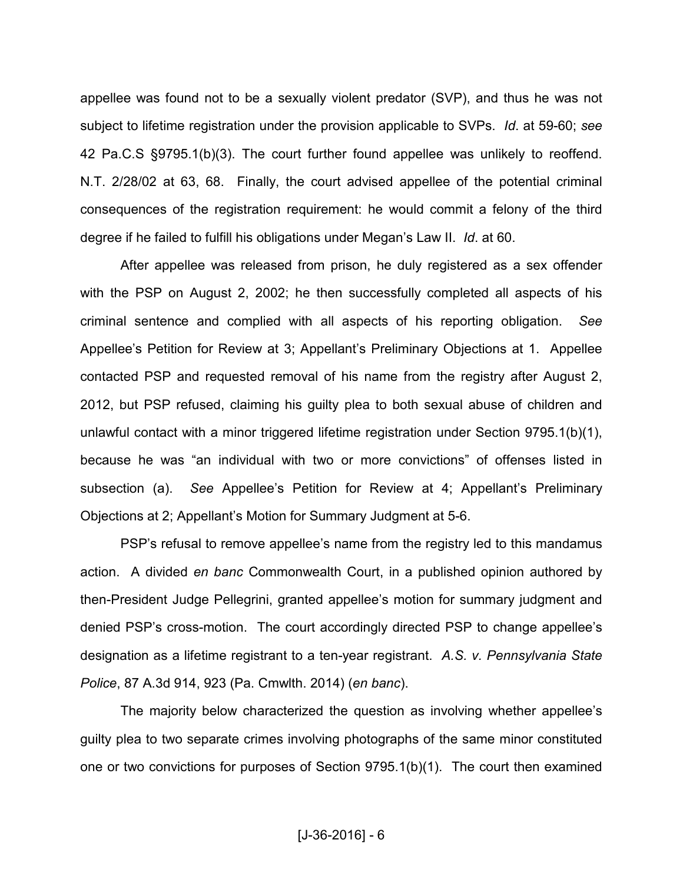appellee was found not to be a sexually violent predator (SVP), and thus he was not subject to lifetime registration under the provision applicable to SVPs. *Id*. at 59-60; *see* 42 Pa.C.S §9795.1(b)(3). The court further found appellee was unlikely to reoffend. N.T. 2/28/02 at 63, 68. Finally, the court advised appellee of the potential criminal consequences of the registration requirement: he would commit a felony of the third degree if he failed to fulfill his obligations under Megan's Law II. *Id*. at 60.

After appellee was released from prison, he duly registered as a sex offender with the PSP on August 2, 2002; he then successfully completed all aspects of his criminal sentence and complied with all aspects of his reporting obligation. *See* Appellee's Petition for Review at 3; Appellant's Preliminary Objections at 1. Appellee contacted PSP and requested removal of his name from the registry after August 2, 2012, but PSP refused, claiming his guilty plea to both sexual abuse of children and unlawful contact with a minor triggered lifetime registration under Section 9795.1(b)(1), because he was "an individual with two or more convictions" of offenses listed in subsection (a). *See* Appellee's Petition for Review at 4; Appellant's Preliminary Objections at 2; Appellant's Motion for Summary Judgment at 5-6.

PSP's refusal to remove appellee's name from the registry led to this mandamus action. A divided *en banc* Commonwealth Court, in a published opinion authored by then-President Judge Pellegrini, granted appellee's motion for summary judgment and denied PSP's cross-motion. The court accordingly directed PSP to change appellee's designation as a lifetime registrant to a ten-year registrant. *A.S. v. Pennsylvania State Police*, 87 A.3d 914, 923 (Pa. Cmwlth. 2014) (*en banc*).

The majority below characterized the question as involving whether appellee's guilty plea to two separate crimes involving photographs of the same minor constituted one or two convictions for purposes of Section 9795.1(b)(1). The court then examined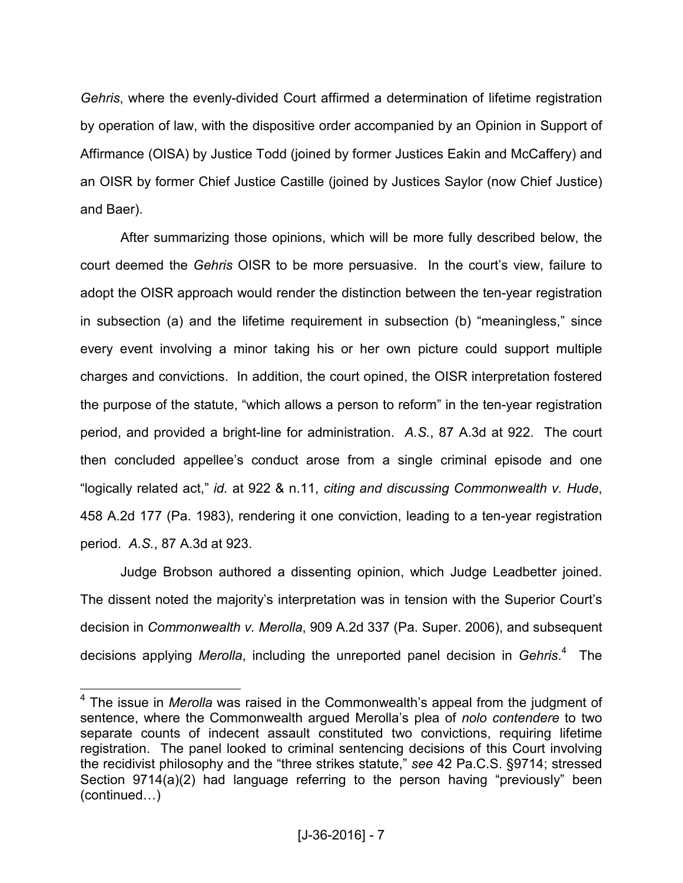*Gehris*, where the evenly-divided Court affirmed a determination of lifetime registration by operation of law, with the dispositive order accompanied by an Opinion in Support of Affirmance (OISA) by Justice Todd (joined by former Justices Eakin and McCaffery) and an OISR by former Chief Justice Castille (joined by Justices Saylor (now Chief Justice) and Baer).

After summarizing those opinions, which will be more fully described below, the court deemed the *Gehris* OISR to be more persuasive. In the court's view, failure to adopt the OISR approach would render the distinction between the ten-year registration in subsection (a) and the lifetime requirement in subsection (b) "meaningless," since every event involving a minor taking his or her own picture could support multiple charges and convictions. In addition, the court opined, the OISR interpretation fostered the purpose of the statute, "which allows a person to reform" in the ten-year registration period, and provided a bright-line for administration. *A.S.*, 87 A.3d at 922. The court then concluded appellee's conduct arose from a single criminal episode and one "logically related act," *id.* at 922 & n.11, *citing and discussing Commonwealth v. Hude*, 458 A.2d 177 (Pa. 1983), rendering it one conviction, leading to a ten-year registration period. *A.S.*, 87 A.3d at 923.

Judge Brobson authored a dissenting opinion, which Judge Leadbetter joined. The dissent noted the majority's interpretation was in tension with the Superior Court's decision in *Commonwealth v. Merolla*, 909 A.2d 337 (Pa. Super. 2006), and subsequent decisions applying *Merolla*, including the unreported panel decision in *Gehris*. 4 The

 4 The issue in *Merolla* was raised in the Commonwealth's appeal from the judgment of sentence, where the Commonwealth argued Merolla's plea of *nolo contendere* to two separate counts of indecent assault constituted two convictions, requiring lifetime registration. The panel looked to criminal sentencing decisions of this Court involving the recidivist philosophy and the "three strikes statute," *see* 42 Pa.C.S. §9714; stressed Section 9714(a)(2) had language referring to the person having "previously" been  $(continued...)$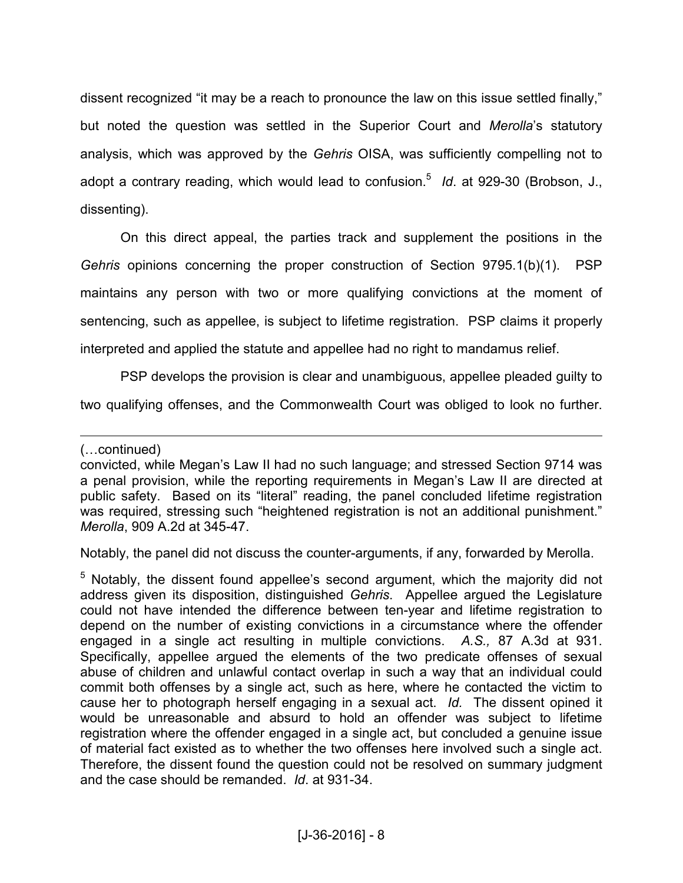dissent recognized "it may be a reach to pronounce the law on this issue settled finally," but noted the question was settled in the Superior Court and *Merolla*'s statutory analysis, which was approved by the *Gehris* OISA, was sufficiently compelling not to adopt a contrary reading, which would lead to confusion.<sup>5</sup> Id. at 929-30 (Brobson, J., dissenting).

On this direct appeal, the parties track and supplement the positions in the *Gehris* opinions concerning the proper construction of Section 9795.1(b)(1). PSP maintains any person with two or more qualifying convictions at the moment of sentencing, such as appellee, is subject to lifetime registration. PSP claims it properly interpreted and applied the statute and appellee had no right to mandamus relief.

PSP develops the provision is clear and unambiguous, appellee pleaded guilty to

two qualifying offenses, and the Commonwealth Court was obliged to look no further.

 $\overline{a}$ (...continued)

Notably, the panel did not discuss the counter-arguments, if any, forwarded by Merolla.

convicted, while Megan's Law II had no such language; and stressed Section 9714 was a penal provision, while the reporting requirements in Megan's Law II are directed at public safety. Based on its "literal" reading, the panel concluded lifetime registration was required, stressing such "heightened registration is not an additional punishment." *Merolla*, 909 A.2d at 345-47.

<sup>&</sup>lt;sup>5</sup> Notably, the dissent found appellee's second argument, which the majority did not address given its disposition, distinguished *Gehris*. Appellee argued the Legislature could not have intended the difference between ten-year and lifetime registration to depend on the number of existing convictions in a circumstance where the offender engaged in a single act resulting in multiple convictions. *A.S.,* 87 A.3d at 931. Specifically, appellee argued the elements of the two predicate offenses of sexual abuse of children and unlawful contact overlap in such a way that an individual could commit both offenses by a single act, such as here, where he contacted the victim to cause her to photograph herself engaging in a sexual act. *Id.* The dissent opined it would be unreasonable and absurd to hold an offender was subject to lifetime registration where the offender engaged in a single act, but concluded a genuine issue of material fact existed as to whether the two offenses here involved such a single act. Therefore, the dissent found the question could not be resolved on summary judgment and the case should be remanded. *Id*. at 931-34.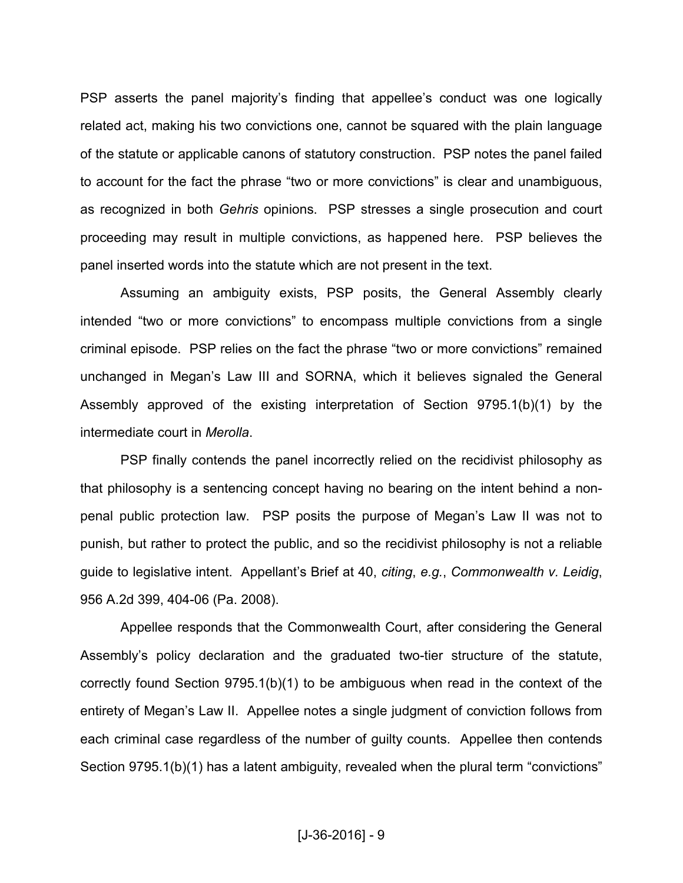PSP asserts the panel majority's finding that appellee's conduct was one logically related act, making his two convictions one, cannot be squared with the plain language of the statute or applicable canons of statutory construction. PSP notes the panel failed to account for the fact the phrase "two or more convictions" is clear and unambiguous, as recognized in both *Gehris* opinions. PSP stresses a single prosecution and court proceeding may result in multiple convictions, as happened here. PSP believes the panel inserted words into the statute which are not present in the text.

 Assuming an ambiguity exists, PSP posits, the General Assembly clearly intended "two or more convictions" to encompass multiple convictions from a single criminal episode. PSP relies on the fact the phrase "two or more convictions" remained unchanged in Megan's Law III and SORNA, which it believes signaled the General Assembly approved of the existing interpretation of Section 9795.1(b)(1) by the intermediate court in *Merolla*.

 PSP finally contends the panel incorrectly relied on the recidivist philosophy as that philosophy is a sentencing concept having no bearing on the intent behind a nonpenal public protection law. PSP posits the purpose of Megan's Law II was not to punish, but rather to protect the public, and so the recidivist philosophy is not a reliable guide to legislative intent. Appellant's Brief at 40, *citing*, *e.g.*, *Commonwealth v. Leidig*, 956 A.2d 399, 404-06 (Pa. 2008).

 Appellee responds that the Commonwealth Court, after considering the General Assembly's policy declaration and the graduated two-tier structure of the statute, correctly found Section 9795.1(b)(1) to be ambiguous when read in the context of the entirety of Megan's Law II. Appellee notes a single judgment of conviction follows from each criminal case regardless of the number of guilty counts. Appellee then contends Section 9795.1(b)(1) has a latent ambiguity, revealed when the plural term "convictions"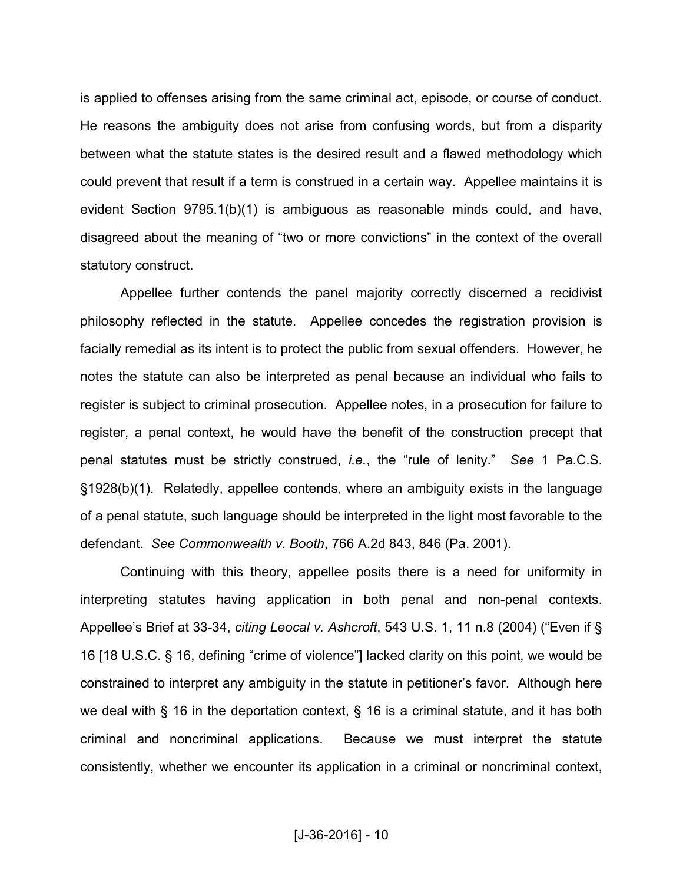is applied to offenses arising from the same criminal act, episode, or course of conduct. He reasons the ambiguity does not arise from confusing words, but from a disparity between what the statute states is the desired result and a flawed methodology which could prevent that result if a term is construed in a certain way. Appellee maintains it is evident Section 9795.1(b)(1) is ambiguous as reasonable minds could, and have, disagreed about the meaning of "two or more convictions" in the context of the overall statutory construct.

 Appellee further contends the panel majority correctly discerned a recidivist philosophy reflected in the statute. Appellee concedes the registration provision is facially remedial as its intent is to protect the public from sexual offenders. However, he notes the statute can also be interpreted as penal because an individual who fails to register is subject to criminal prosecution. Appellee notes, in a prosecution for failure to register, a penal context, he would have the benefit of the construction precept that penal statutes must be strictly construed, *i.e.*, the "rule of lenity." *See* 1 Pa.C.S. §1928(b)(1). Relatedly, appellee contends, where an ambiguity exists in the language of a penal statute, such language should be interpreted in the light most favorable to the defendant. *See Commonwealth v. Booth*, 766 A.2d 843, 846 (Pa. 2001).

 Continuing with this theory, appellee posits there is a need for uniformity in interpreting statutes having application in both penal and non-penal contexts. Appellee's Brief at 33-34, *citing Leocal v. Ashcroft*, 543 U.S. 1, 11 n.8 (2004) ("Even if § 16 [18 U.S.C. § 16, defining "crime of violence"] lacked clarity on this point, we would be constrained to interpret any ambiguity in the statute in petitioner's favor. Although here we deal with § 16 in the deportation context, § 16 is a criminal statute, and it has both criminal and noncriminal applications. Because we must interpret the statute consistently, whether we encounter its application in a criminal or noncriminal context,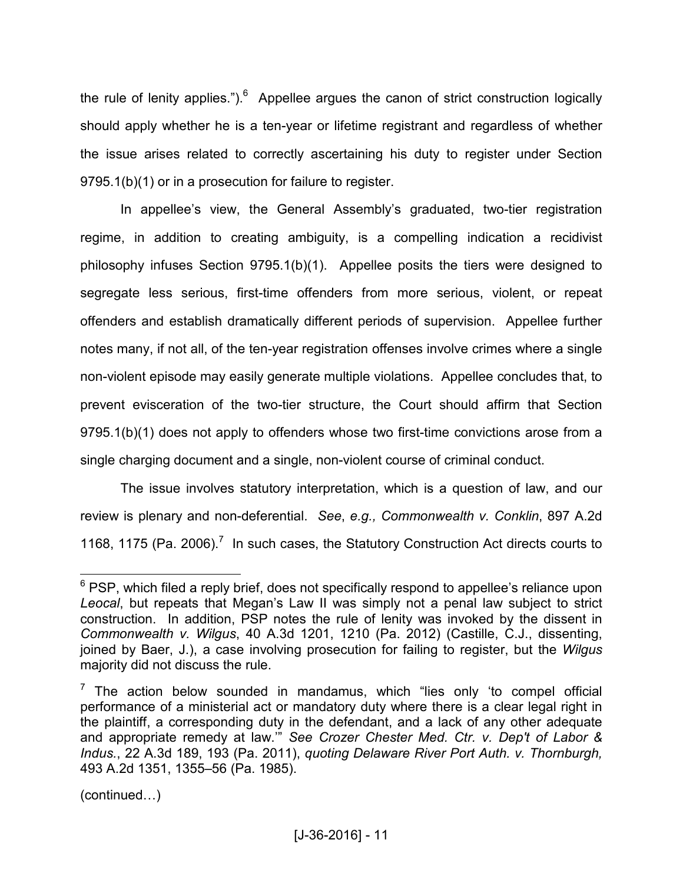the rule of lenity applies."). $6$  Appellee argues the canon of strict construction logically should apply whether he is a ten-year or lifetime registrant and regardless of whether the issue arises related to correctly ascertaining his duty to register under Section 9795.1(b)(1) or in a prosecution for failure to register.

 In appellee's view, the General Assembly's graduated, two-tier registration regime, in addition to creating ambiguity, is a compelling indication a recidivist philosophy infuses Section 9795.1(b)(1). Appellee posits the tiers were designed to segregate less serious, first-time offenders from more serious, violent, or repeat offenders and establish dramatically different periods of supervision. Appellee further notes many, if not all, of the ten-year registration offenses involve crimes where a single non-violent episode may easily generate multiple violations. Appellee concludes that, to prevent evisceration of the two-tier structure, the Court should affirm that Section 9795.1(b)(1) does not apply to offenders whose two first-time convictions arose from a single charging document and a single, non-violent course of criminal conduct.

 The issue involves statutory interpretation, which is a question of law, and our review is plenary and non-deferential. *See*, *e.g., Commonwealth v. Conklin*, 897 A.2d 1168, 1175 (Pa. 2006).<sup>7</sup> In such cases, the Statutory Construction Act directs courts to

 $(continued...)$ 

\_\_\_\_\_\_\_\_\_\_\_\_\_\_\_\_\_\_\_\_\_\_\_\_\_\_\_\_\_\_\_<br><sup>6</sup> PSP, which filed a reply brief, does not specifically respond to appellee's reliance upon\_ *Leocal*, but repeats that Megan's Law II was simply not a penal law subject to strict construction. In addition, PSP notes the rule of lenity was invoked by the dissent in *Commonwealth v. Wilgus*, 40 A.3d 1201, 1210 (Pa. 2012) (Castille, C.J., dissenting, joined by Baer, J.), a case involving prosecution for failing to register, but the *Wilgus* majority did not discuss the rule.

 $7$  The action below sounded in mandamus, which "lies only 'to compel official performance of a ministerial act or mandatory duty where there is a clear legal right in the plaintiff, a corresponding duty in the defendant, and a lack of any other adequate and appropriate remedy at law.'" *See Crozer Chester Med. Ctr. v. Dep't of Labor & Indus.*, 22 A.3d 189, 193 (Pa. 2011), *quoting Delaware River Port Auth. v. Thornburgh,* 493 A.2d 1351, 1355–56 (Pa. 1985).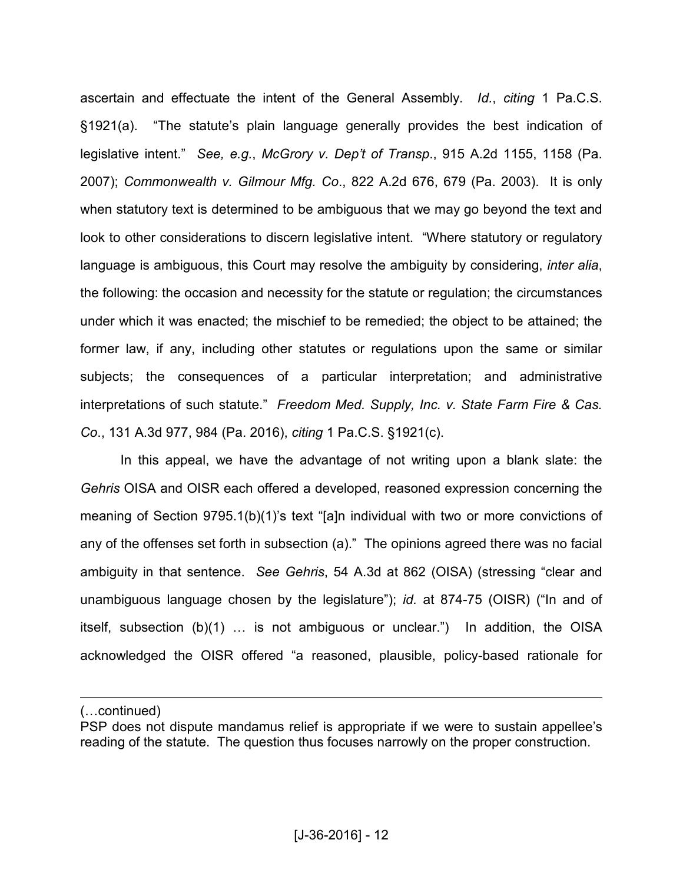ascertain and effectuate the intent of the General Assembly. *Id.*, *citing* 1 Pa.C.S. §1921(a). "The statute's plain language generally provides the best indication of legislative intent." *See, e.g.*, *McGrory v. Dep't of Transp*., 915 A.2d 1155, 1158 (Pa. 2007); *Commonwealth v. Gilmour Mfg. Co*., 822 A.2d 676, 679 (Pa. 2003). It is only when statutory text is determined to be ambiguous that we may go beyond the text and look to other considerations to discern legislative intent. "Where statutory or regulatory language is ambiguous, this Court may resolve the ambiguity by considering, *inter alia*, the following: the occasion and necessity for the statute or regulation; the circumstances under which it was enacted; the mischief to be remedied; the object to be attained; the former law, if any, including other statutes or regulations upon the same or similar subjects; the consequences of a particular interpretation; and administrative interpretations of such statute." *Freedom Med. Supply, Inc. v. State Farm Fire & Cas. Co*., 131 A.3d 977, 984 (Pa. 2016), *citing* 1 Pa.C.S. §1921(c).

 In this appeal, we have the advantage of not writing upon a blank slate: the *Gehris* OISA and OISR each offered a developed, reasoned expression concerning the meaning of Section 9795.1(b)(1)'s text "[a]n individual with two or more convictions of any of the offenses set forth in subsection (a)." The opinions agreed there was no facial ambiguity in that sentence. *See Gehris*, 54 A.3d at 862 (OISA) (stressing "clear and unambiguous language chosen by the legislature"); *id.* at 874-75 (OISR) ("In and of itself, subsection  $(b)(1)$  ... is not ambiguous or unclear.") In addition, the OISA acknowledged the OISR offered "a reasoned, plausible, policy-based rationale for

(...continued)

 $\overline{a}$ 

PSP does not dispute mandamus relief is appropriate if we were to sustain appellee's reading of the statute. The question thus focuses narrowly on the proper construction.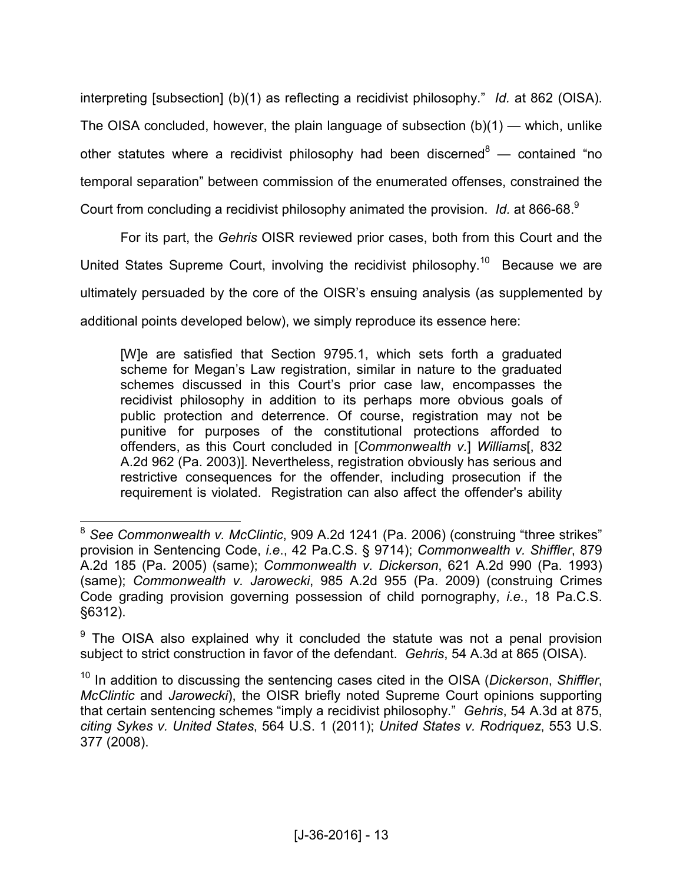interpreting [subsection] (b)(1) as reflecting a recidivist philosophy." *Id.* at 862 (OISA). The OISA concluded, however, the plain language of subsection (b)(1) — which, unlike other statutes where a recidivist philosophy had been discerned<sup>8</sup> — contained "no temporal separation" between commission of the enumerated offenses, constrained the Court from concluding a recidivist philosophy animated the provision. Id. at 866-68.<sup>9</sup>

For its part, the *Gehris* OISR reviewed prior cases, both from this Court and the United States Supreme Court, involving the recidivist philosophy.<sup>10</sup> Because we are ultimately persuaded by the core of the OISR's ensuing analysis (as supplemented by additional points developed below), we simply reproduce its essence here:

[W]e are satisfied that Section 9795.1, which sets forth a graduated scheme for Megan's Law registration, similar in nature to the graduated schemes discussed in this Court's prior case law, encompasses the recidivist philosophy in addition to its perhaps more obvious goals of public protection and deterrence. Of course, registration may not be punitive for purposes of the constitutional protections afforded to offenders, as this Court concluded in [*Commonwealth v.*] *Williams*[, 832 A.2d 962 (Pa. 2003)]*.* Nevertheless, registration obviously has serious and restrictive consequences for the offender, including prosecution if the requirement is violated. Registration can also affect the offender's ability

 $\overline{a}$ <sup>8</sup> *See Commonwealth v. McClintic*, 909 A.2d 1241 (Pa. 2006) (construing "three strikes" provision in Sentencing Code, *i.e*., 42 Pa.C.S. § 9714); *Commonwealth v. Shiffler*, 879 A.2d 185 (Pa. 2005) (same); *Commonwealth v. Dickerson*, 621 A.2d 990 (Pa. 1993) (same); *Commonwealth v. Jarowecki*, 985 A.2d 955 (Pa. 2009) (construing Crimes Code grading provision governing possession of child pornography, *i.e.*, 18 Pa.C.S. §6312).

<sup>&</sup>lt;sup>9</sup> The OISA also explained why it concluded the statute was not a penal provision subject to strict construction in favor of the defendant. *Gehris*, 54 A.3d at 865 (OISA).

<sup>10</sup> In addition to discussing the sentencing cases cited in the OISA (*Dickerson*, *Shiffler*, *McClintic* and *Jarowecki*), the OISR briefly noted Supreme Court opinions supporting that certain sentencing schemes "imply a recidivist philosophy." *Gehris*, 54 A.3d at 875, *citing Sykes v. United States*, 564 U.S. 1 (2011); *United States v. Rodriquez*, 553 U.S. 377 (2008).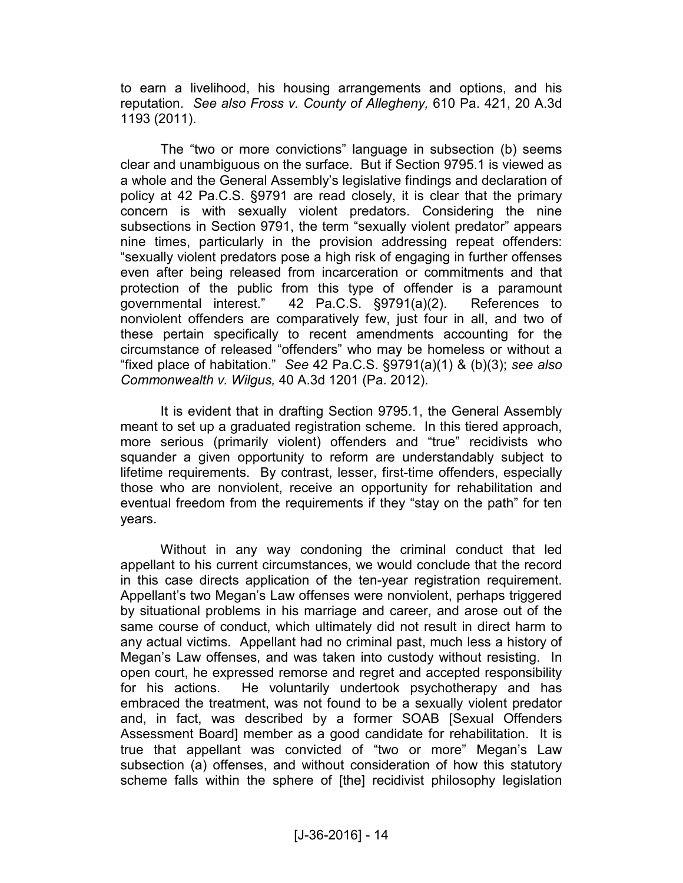to earn a livelihood, his housing arrangements and options, and his reputation. *See also Fross v. County of Allegheny,* 610 Pa. 421, 20 A.3d 1193 (2011).

 The "two or more convictions" language in subsection (b) seems clear and unambiguous on the surface. But if Section 9795.1 is viewed as a whole and the General Assembly's legislative findings and declaration of policy at 42 Pa.C.S. §9791 are read closely, it is clear that the primary concern is with sexually violent predators. Considering the nine subsections in Section 9791, the term "sexually violent predator" appears nine times, particularly in the provision addressing repeat offenders: "sexually violent predators pose a high risk of engaging in further offenses even after being released from incarceration or commitments and that protection of the public from this type of offender is a paramount governmental interest." 42 Pa.C.S. §9791(a)(2). References to nonviolent offenders are comparatively few, just four in all, and two of these pertain specifically to recent amendments accounting for the circumstance of released "offenders" who may be homeless or without a "fixed place of habitation." *See* 42 Pa.C.S. §9791(a)(1) & (b)(3); *see also Commonwealth v. Wilgus,* 40 A.3d 1201 (Pa. 2012).

 It is evident that in drafting Section 9795.1, the General Assembly meant to set up a graduated registration scheme. In this tiered approach, more serious (primarily violent) offenders and "true" recidivists who squander a given opportunity to reform are understandably subject to lifetime requirements. By contrast, lesser, first-time offenders, especially those who are nonviolent, receive an opportunity for rehabilitation and eventual freedom from the requirements if they "stay on the path" for ten years.

 Without in any way condoning the criminal conduct that led appellant to his current circumstances, we would conclude that the record in this case directs application of the ten-year registration requirement. Appellant's two Megan's Law offenses were nonviolent, perhaps triggered by situational problems in his marriage and career, and arose out of the same course of conduct, which ultimately did not result in direct harm to any actual victims. Appellant had no criminal past, much less a history of Megan's Law offenses, and was taken into custody without resisting. In open court, he expressed remorse and regret and accepted responsibility for his actions. He voluntarily undertook psychotherapy and has embraced the treatment, was not found to be a sexually violent predator and, in fact, was described by a former SOAB [Sexual Offenders Assessment Board] member as a good candidate for rehabilitation. It is true that appellant was convicted of "two or more" Megan's Law subsection (a) offenses, and without consideration of how this statutory scheme falls within the sphere of [the] recidivist philosophy legislation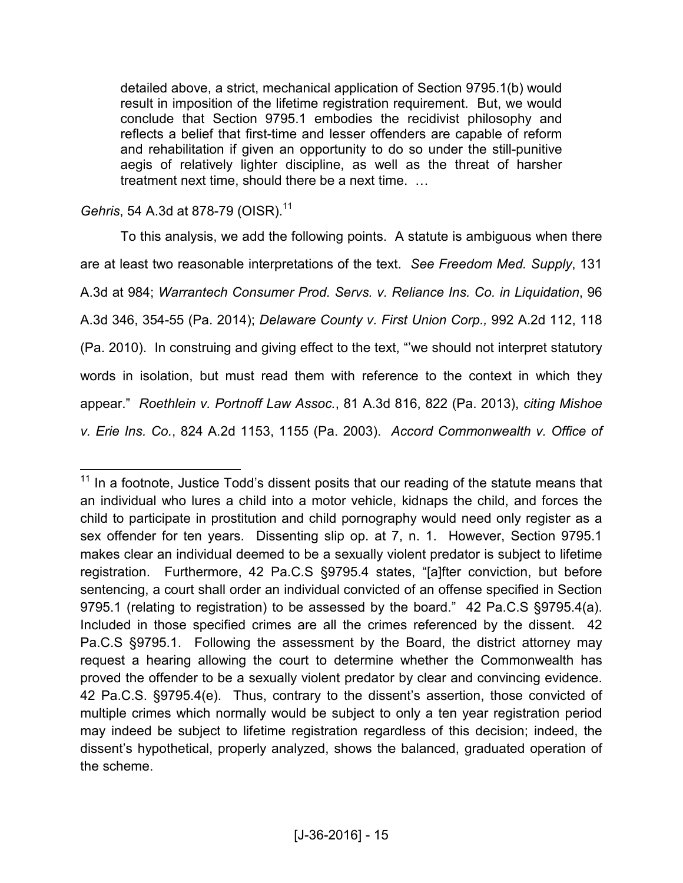detailed above, a strict, mechanical application of Section 9795.1(b) would result in imposition of the lifetime registration requirement. But, we would conclude that Section 9795.1 embodies the recidivist philosophy and reflects a belief that first-time and lesser offenders are capable of reform and rehabilitation if given an opportunity to do so under the still-punitive aegis of relatively lighter discipline, as well as the threat of harsher treatment next time, should there be a next time.  $\ldots$ 

*Gehris*, 54 A.3d at 878-79 (OISR).<sup>11</sup>

 To this analysis, we add the following points. A statute is ambiguous when there are at least two reasonable interpretations of the text. *See Freedom Med. Supply*, 131 A.3d at 984; *Warrantech Consumer Prod. Servs. v. Reliance Ins. Co. in Liquidation*, 96 A.3d 346, 354-55 (Pa. 2014); *Delaware County v. First Union Corp.,* 992 A.2d 112, 118 (Pa. 2010). In construing and giving effect to the text, "'we should not interpret statutory words in isolation, but must read them with reference to the context in which they appear." *Roethlein v. Portnoff Law Assoc.*, 81 A.3d 816, 822 (Pa. 2013), *citing Mishoe v. Erie Ins. Co.*, 824 A.2d 1153, 1155 (Pa. 2003). *Accord Commonwealth v. Office of* 

 $\overline{a}$  $11$  In a footnote, Justice Todd's dissent posits that our reading of the statute means that an individual who lures a child into a motor vehicle, kidnaps the child, and forces the child to participate in prostitution and child pornography would need only register as a sex offender for ten years. Dissenting slip op. at 7, n. 1. However, Section 9795.1 makes clear an individual deemed to be a sexually violent predator is subject to lifetime registration. Furthermore, 42 Pa.C.S §9795.4 states, "[a]fter conviction, but before sentencing, a court shall order an individual convicted of an offense specified in [Section](https://1.next.westlaw.com/Link/Document/FullText?findType=L&pubNum=1000262&cite=PA42S9793&originatingDoc=N0F9F6C10343811DA8A989F4EECDB8638&refType=LQ&originationContext=document&transitionType=DocumentItem&contextData=%28sc.RelatedInfo%29) [9795.1](https://1.next.westlaw.com/Link/Document/FullText?findType=L&pubNum=1000262&cite=PA42S9793&originatingDoc=N0F9F6C10343811DA8A989F4EECDB8638&refType=LQ&originationContext=document&transitionType=DocumentItem&contextData=%28sc.RelatedInfo%29) (relating to registration) to be assessed by the board." 42 Pa.C.S §9795.4(a). Included in those specified crimes are all the crimes referenced by the dissent. 42 Pa.C.S §9795.1. Following the assessment by the Board, the district attorney may request a hearing allowing the court to determine whether the Commonwealth has proved the offender to be a sexually violent predator by clear and convincing evidence. 42 Pa.C.S. §9795.4(e). Thus, contrary to the dissent's assertion, those convicted of multiple crimes which normally would be subject to only a ten year registration period may indeed be subject to lifetime registration regardless of this decision; indeed, the dissent's hypothetical, properly analyzed, shows the balanced, graduated operation of the scheme.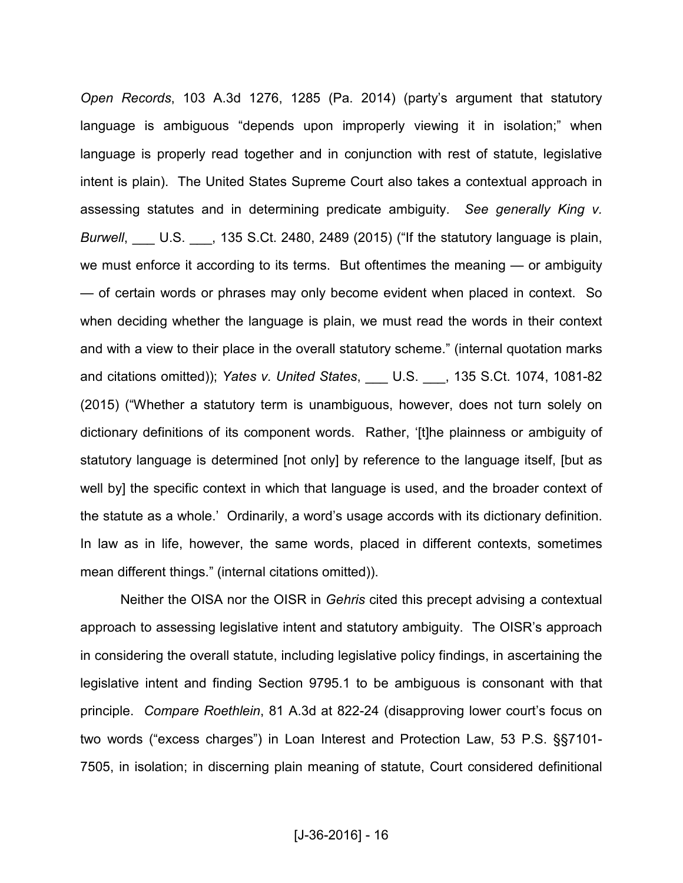*Open Records*, 103 A.3d 1276, 1285 (Pa. 2014) (party's argument that statutory language is ambiguous "depends upon improperly viewing it in isolation;" when language is properly read together and in conjunction with rest of statute, legislative intent is plain). The United States Supreme Court also takes a contextual approach in assessing statutes and in determining predicate ambiguity. *See generally King v. Burwell*, \_\_\_ U.S. \_\_\_, 135 S.Ct. 2480, 2489 (2015) ("If the statutory language is plain, we must enforce it according to its terms. But oftentimes the meaning — or ambiguity — of certain words or phrases may only become evident when placed in context. So when deciding whether the language is plain, we must read the words in their context and with a view to their place in the overall statutory scheme." (internal quotation marks and citations omitted)); *Yates v. United States*, \_\_\_ U.S. \_\_\_, 135 S.Ct. 1074, 1081-82 (2015) ("Whether a statutory term is unambiguous, however, does not turn solely on dictionary definitions of its component words. Rather, '[t]he plainness or ambiguity of statutory language is determined [not only] by reference to the language itself, [but as well by] the specific context in which that language is used, and the broader context of the statute as a whole.' Ordinarily, a word's usage accords with its dictionary definition. In law as in life, however, the same words, placed in different contexts, sometimes mean different things." (internal citations omitted)).

Neither the OISA nor the OISR in *Gehris* cited this precept advising a contextual approach to assessing legislative intent and statutory ambiguity. The OISR's approach in considering the overall statute, including legislative policy findings, in ascertaining the legislative intent and finding Section 9795.1 to be ambiguous is consonant with that principle. *Compare Roethlein*, 81 A.3d at 822-24 (disapproving lower court's focus on two words ("excess charges") in Loan Interest and Protection Law, 53 P.S. §§7101- 7505, in isolation; in discerning plain meaning of statute, Court considered definitional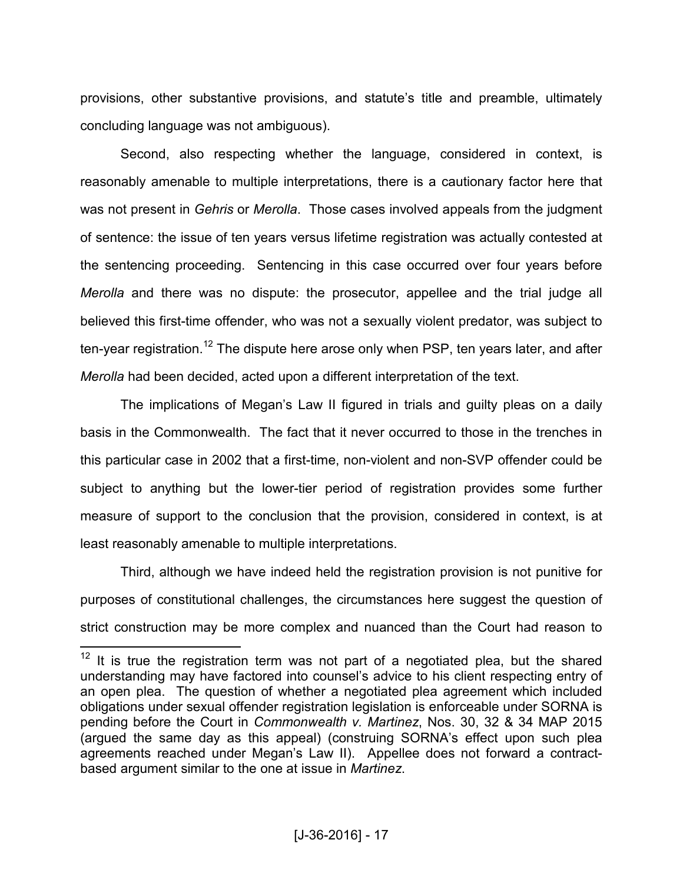provisions, other substantive provisions, and statute's title and preamble, ultimately concluding language was not ambiguous).

Second, also respecting whether the language, considered in context, is reasonably amenable to multiple interpretations, there is a cautionary factor here that was not present in *Gehris* or *Merolla*. Those cases involved appeals from the judgment of sentence: the issue of ten years versus lifetime registration was actually contested at the sentencing proceeding. Sentencing in this case occurred over four years before *Merolla* and there was no dispute: the prosecutor, appellee and the trial judge all believed this first-time offender, who was not a sexually violent predator, was subject to ten-year registration.<sup>12</sup> The dispute here arose only when PSP, ten years later, and after *Merolla* had been decided, acted upon a different interpretation of the text.

The implications of Megan's Law II figured in trials and guilty pleas on a daily basis in the Commonwealth. The fact that it never occurred to those in the trenches in this particular case in 2002 that a first-time, non-violent and non-SVP offender could be subject to anything but the lower-tier period of registration provides some further measure of support to the conclusion that the provision, considered in context, is at least reasonably amenable to multiple interpretations.

 Third, although we have indeed held the registration provision is not punitive for purposes of constitutional challenges, the circumstances here suggest the question of strict construction may be more complex and nuanced than the Court had reason to

 $\overline{a}$ 

 $12$  It is true the registration term was not part of a negotiated plea, but the shared understanding may have factored into counsel's advice to his client respecting entry of an open plea. The question of whether a negotiated plea agreement which included obligations under sexual offender registration legislation is enforceable under SORNA is pending before the Court in *Commonwealth v. Martinez*, Nos. 30, 32 & 34 MAP 2015 (argued the same day as this appeal) (construing SORNA's effect upon such plea agreements reached under Megan's Law II). Appellee does not forward a contractbased argument similar to the one at issue in *Martinez*.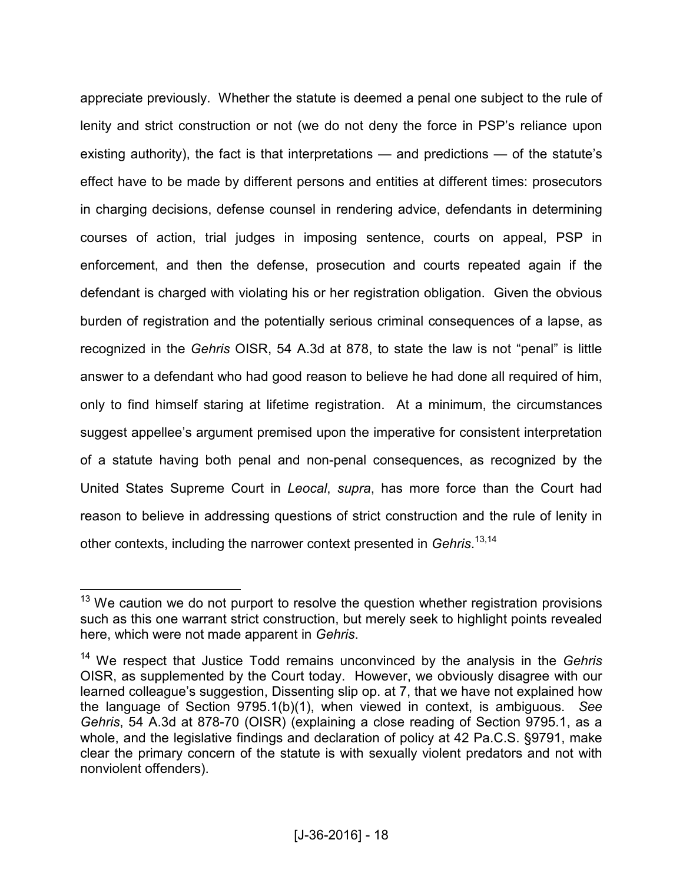appreciate previously. Whether the statute is deemed a penal one subject to the rule of lenity and strict construction or not (we do not deny the force in PSP's reliance upon existing authority), the fact is that interpretations — and predictions — of the statute's effect have to be made by different persons and entities at different times: prosecutors in charging decisions, defense counsel in rendering advice, defendants in determining courses of action, trial judges in imposing sentence, courts on appeal, PSP in enforcement, and then the defense, prosecution and courts repeated again if the defendant is charged with violating his or her registration obligation. Given the obvious burden of registration and the potentially serious criminal consequences of a lapse, as recognized in the *Gehris* OISR, 54 A.3d at 878, to state the law is not "penal" is little answer to a defendant who had good reason to believe he had done all required of him, only to find himself staring at lifetime registration. At a minimum, the circumstances suggest appellee's argument premised upon the imperative for consistent interpretation of a statute having both penal and non-penal consequences, as recognized by the United States Supreme Court in *Leocal*, *supra*, has more force than the Court had reason to believe in addressing questions of strict construction and the rule of lenity in other contexts, including the narrower context presented in *Gehris*. 13,14

 $\overline{a}$ 

 $13$  We caution we do not purport to resolve the question whether registration provisions such as this one warrant strict construction, but merely seek to highlight points revealed here, which were not made apparent in *Gehris*.

<sup>14</sup> We respect that Justice Todd remains unconvinced by the analysis in the *Gehris* OISR, as supplemented by the Court today. However, we obviously disagree with our learned colleague's suggestion, Dissenting slip op. at 7, that we have not explained how the language of Section 9795.1(b)(1), when viewed in context, is ambiguous. *See Gehris*, 54 A.3d at 878-70 (OISR) (explaining a close reading of Section 9795.1, as a whole, and the legislative findings and declaration of policy at 42 Pa.C.S. §9791, make clear the primary concern of the statute is with sexually violent predators and not with nonviolent offenders).